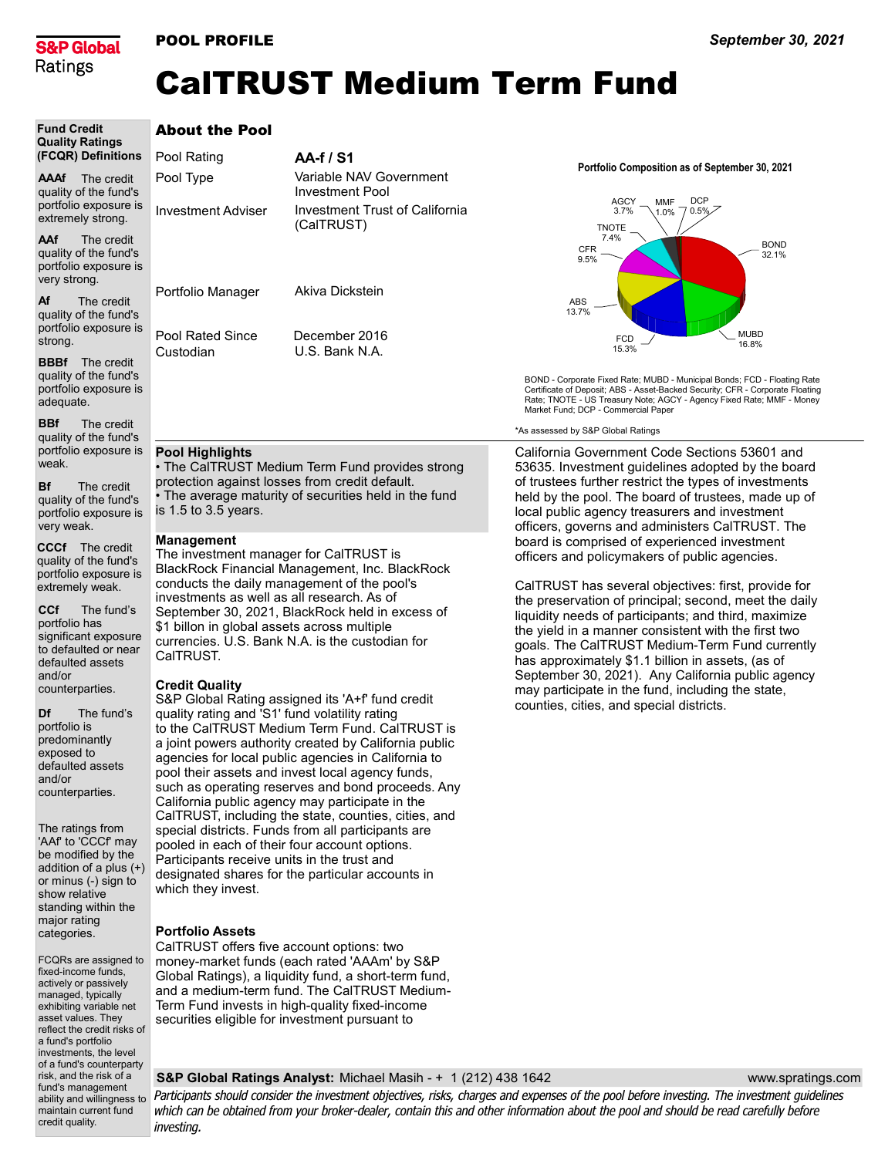

Fund Credit

fund's management

maintain current fund credit quality.

## POOL PROFILE

## CalTRUST Medium Term Fund

| <b>Fund Credit</b><br><b>Quality Ratings</b>                                                                                                                                                      | <b>About the Pool</b>                                                                                                                                                                                                                                                                                                                                                |                                       |  |
|---------------------------------------------------------------------------------------------------------------------------------------------------------------------------------------------------|----------------------------------------------------------------------------------------------------------------------------------------------------------------------------------------------------------------------------------------------------------------------------------------------------------------------------------------------------------------------|---------------------------------------|--|
| (FCQR) Definitions                                                                                                                                                                                | Pool Rating                                                                                                                                                                                                                                                                                                                                                          | AA-f / S1                             |  |
| AAAf<br>The credit<br>quality of the fund's                                                                                                                                                       | Pool Type                                                                                                                                                                                                                                                                                                                                                            | Variable NAV Go<br>Investment Pool    |  |
| portfolio exposure is<br>extremely strong.                                                                                                                                                        | <b>Investment Adviser</b>                                                                                                                                                                                                                                                                                                                                            | <b>Investment Trust</b><br>(CalTRUST) |  |
| AAf<br>The credit<br>quality of the fund's<br>portfolio exposure is<br>very strong.                                                                                                               |                                                                                                                                                                                                                                                                                                                                                                      |                                       |  |
| Af<br>The credit<br>quality of the fund's<br>portfolio exposure is                                                                                                                                | Portfolio Manager<br>Pool Rated Since                                                                                                                                                                                                                                                                                                                                | Akiva Dickstein<br>December 2016      |  |
| strong.<br><b>BBBf</b><br>The credit<br>quality of the fund's<br>portfolio exposure is<br>adequate.                                                                                               | Custodian                                                                                                                                                                                                                                                                                                                                                            | U.S. Bank N.A.                        |  |
| <b>BBf</b><br>The credit<br>quality of the fund's                                                                                                                                                 |                                                                                                                                                                                                                                                                                                                                                                      |                                       |  |
| portfolio exposure is<br>weak.<br>Bf<br>The credit                                                                                                                                                | <b>Pool Highlights</b><br>• The CalTRUST Medium Term Fund prov<br>protection against losses from credit defa                                                                                                                                                                                                                                                         |                                       |  |
| quality of the fund's<br>portfolio exposure is<br>very weak.                                                                                                                                      | • The average maturity of securities held<br>is $1.5$ to $3.5$ years.                                                                                                                                                                                                                                                                                                |                                       |  |
| <b>CCCf</b><br>The credit<br>quality of the fund's<br>portfolio exposure is<br>extremely weak.                                                                                                    | Management<br>The investment manager for CalTRUST i<br>BlackRock Financial Management, Inc. B<br>conducts the daily management of the po<br>investments as well as all research. As of                                                                                                                                                                               |                                       |  |
| CCf<br>The fund's<br>portfolio has<br>significant exposure<br>to defaulted or near<br>defaulted assets                                                                                            | September 30, 2021, BlackRock held in $\epsilon$<br>\$1 billon in global assets across multiple<br>currencies. U.S. Bank N.A. is the custodi-<br>CaITRUST.                                                                                                                                                                                                           |                                       |  |
| and/or<br>counterparties.                                                                                                                                                                         | <b>Credit Quality</b><br>S&P Global Rating assigned its 'A+f' fund                                                                                                                                                                                                                                                                                                   |                                       |  |
| Df<br>The fund's<br>portfolio is<br>predominantly<br>exposed to<br>defaulted assets<br>and/or<br>counterparties.                                                                                  | quality rating and 'S1' fund volatility rating<br>to the CalTRUST Medium Term Fund. Ca<br>a joint powers authority created by Califo<br>agencies for local public agencies in Cali<br>pool their assets and invest local agency<br>such as operating reserves and bond pro<br>California public agency may participate i<br>CalTRUST, including the state, counties, |                                       |  |
| The ratings from<br>'AAf' to 'CCCf' may<br>be modified by the<br>addition of a plus (+)<br>or minus (-) sign to<br>show relative<br>standing within the                                           | special districts. Funds from all participar<br>pooled in each of their four account optio<br>Participants receive units in the trust and<br>designated shares for the particular acco<br>which they invest.                                                                                                                                                         |                                       |  |
| major rating<br>categories.                                                                                                                                                                       | <b>Portfolio Assets</b>                                                                                                                                                                                                                                                                                                                                              |                                       |  |
| FCQRs are assigned to<br>fixed-income funds,<br>actively or passively<br>managed, typically<br>exhibiting variable net<br>asset values. They<br>reflect the credit risks of<br>a fund's portfolio | CalTRUST offers five account options: tw<br>money-market funds (each rated 'AAAm'<br>Global Ratings), a liquidity fund, a short-t<br>and a medium-term fund. The CalTRUST<br>Term Fund invests in high-quality fixed-in<br>securities eligible for investment pursuan                                                                                                |                                       |  |
| investments, the level<br>of a fund's counterparty<br>risk, and the risk of a                                                                                                                     | <b>S&amp;P Global Ratings Analyst: Michael N</b>                                                                                                                                                                                                                                                                                                                     |                                       |  |

vernment of California Portfolio Composition as of September 30, 2021



BOND - Corporate Fixed Rate; MUBD - Municipal Bonds; FCD - Floating Rate Certificate of Deposit; ABS - Asset-Backed Security; CFR - Corporate Floating Rate; TNOTE - US Treasury Note; AGCY - Agency Fixed Rate; MMF - Money Market Fund; DCP - Commercial Paper

\*As assessed by S&P Global Ratings

vides strong<br>เult. protection against losses from credit default. in the fund

The investment manager for CalTRUST is **HackRock** conducts the daily management of the pool's investments as well as all research. As of excess of \$1 billon in global assets across multiple currencies. U.S. Bank N.A. is the custodian for

d credit quality rating and 'S1' fund volatility rating ITRUST is rnia public fornia to funds, ceeds. Any in the cities, and nts are pooled in each of their four account options. Participants receive units in the trust and ounts in

CalTRUST offers five account options: two by S&P erm fund, Mediumicome securities eligible for investment pursuant to

California Government Code Sections 53601 and 53635. Investment guidelines adopted by the board of trustees further restrict the types of investments held by the pool. The board of trustees, made up of local public agency treasurers and investment officers, governs and administers CalTRUST. The board is comprised of experienced investment officers and policymakers of public agencies.

CalTRUST has several objectives: first, provide for the preservation of principal; second, meet the daily liquidity needs of participants; and third, maximize the yield in a manner consistent with the first two goals. The CalTRUST Medium-Term Fund currently has approximately \$1.1 billion in assets, (as of September 30, 2021). Any California public agency may participate in the fund, including the state, counties, cities, and special districts.

## S&P Global Ratings Analyst: Michael Masih - + 1 (212) 438 1642

www.spratings.com

ability and willingness to Participants should consider the investment objectives, risks, charges and expenses of the pool before investing. The investment guidelines which can be obtained from your broker-dealer, contain this and other information about the pool and should be read carefully before investing.